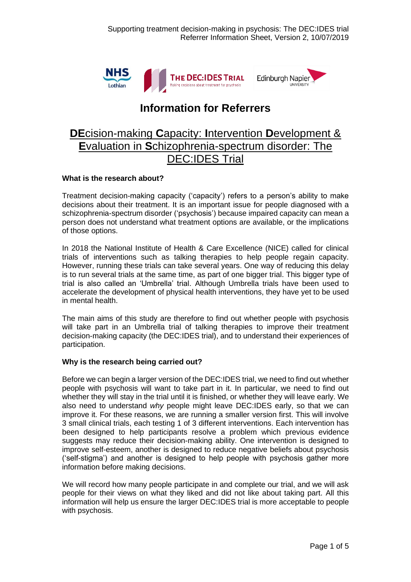

# **Information for Referrers**

## **DE**cision-making **C**apacity: **I**ntervention **D**evelopment & **E**valuation in **S**chizophrenia-spectrum disorder: The DEC:IDES Trial

## **What is the research about?**

Treatment decision-making capacity ('capacity') refers to a person's ability to make decisions about their treatment. It is an important issue for people diagnosed with a schizophrenia-spectrum disorder ('psychosis') because impaired capacity can mean a person does not understand what treatment options are available, or the implications of those options.

In 2018 the National Institute of Health & Care Excellence (NICE) called for clinical trials of interventions such as talking therapies to help people regain capacity. However, running these trials can take several years. One way of reducing this delay is to run several trials at the same time, as part of one bigger trial. This bigger type of trial is also called an 'Umbrella' trial. Although Umbrella trials have been used to accelerate the development of physical health interventions, they have yet to be used in mental health.

The main aims of this study are therefore to find out whether people with psychosis will take part in an Umbrella trial of talking therapies to improve their treatment decision-making capacity (the DEC:IDES trial), and to understand their experiences of participation.

## **Why is the research being carried out?**

Before we can begin a larger version of the DEC:IDES trial, we need to find out whether people with psychosis will want to take part in it. In particular, we need to find out whether they will stay in the trial until it is finished, or whether they will leave early. We also need to understand *why* people might leave DEC:IDES early, so that we can improve it. For these reasons, we are running a smaller version first. This will involve 3 small clinical trials, each testing 1 of 3 different interventions. Each intervention has been designed to help participants resolve a problem which previous evidence suggests may reduce their decision-making ability. One intervention is designed to improve self-esteem, another is designed to reduce negative beliefs about psychosis ('self-stigma') and another is designed to help people with psychosis gather more information before making decisions.

We will record how many people participate in and complete our trial, and we will ask people for their views on what they liked and did not like about taking part. All this information will help us ensure the larger DEC:IDES trial is more acceptable to people with psychosis.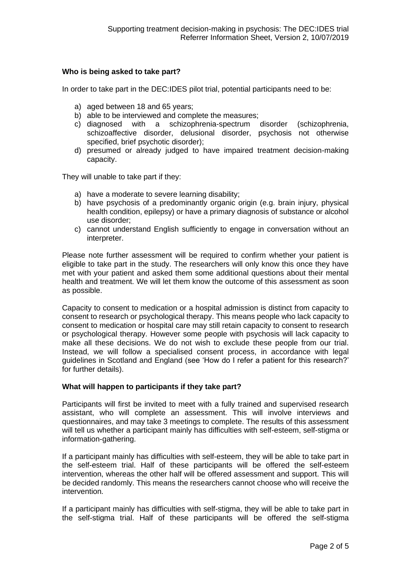### **Who is being asked to take part?**

In order to take part in the DEC:IDES pilot trial, potential participants need to be:

- a) aged between 18 and 65 years;
- b) able to be interviewed and complete the measures;
- c) diagnosed with a schizophrenia-spectrum disorder (schizophrenia, schizoaffective disorder, delusional disorder, psychosis not otherwise specified, brief psychotic disorder);
- d) presumed or already judged to have impaired treatment decision-making capacity.

They will unable to take part if they:

- a) have a moderate to severe learning disability;
- b) have psychosis of a predominantly organic origin (e.g. brain injury, physical health condition, epilepsy) or have a primary diagnosis of substance or alcohol use disorder;
- c) cannot understand English sufficiently to engage in conversation without an interpreter.

Please note further assessment will be required to confirm whether your patient is eligible to take part in the study. The researchers will only know this once they have met with your patient and asked them some additional questions about their mental health and treatment. We will let them know the outcome of this assessment as soon as possible.

Capacity to consent to medication or a hospital admission is distinct from capacity to consent to research or psychological therapy. This means people who lack capacity to consent to medication or hospital care may still retain capacity to consent to research or psychological therapy. However some people with psychosis will lack capacity to make all these decisions. We do not wish to exclude these people from our trial. Instead, we will follow a specialised consent process, in accordance with legal guidelines in Scotland and England (see 'How do I refer a patient for this research?' for further details).

#### **What will happen to participants if they take part?**

Participants will first be invited to meet with a fully trained and supervised research assistant, who will complete an assessment. This will involve interviews and questionnaires, and may take 3 meetings to complete. The results of this assessment will tell us whether a participant mainly has difficulties with self-esteem, self-stigma or information-gathering.

If a participant mainly has difficulties with self-esteem, they will be able to take part in the self-esteem trial. Half of these participants will be offered the self-esteem intervention, whereas the other half will be offered assessment and support. This will be decided randomly. This means the researchers cannot choose who will receive the intervention.

If a participant mainly has difficulties with self-stigma, they will be able to take part in the self-stigma trial. Half of these participants will be offered the self-stigma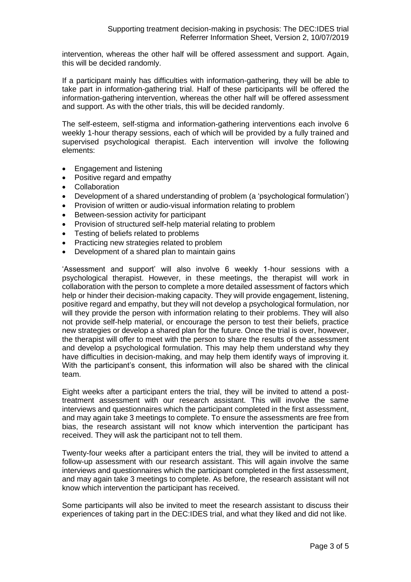intervention, whereas the other half will be offered assessment and support. Again, this will be decided randomly.

If a participant mainly has difficulties with information-gathering, they will be able to take part in information-gathering trial. Half of these participants will be offered the information-gathering intervention, whereas the other half will be offered assessment and support. As with the other trials, this will be decided randomly.

The self-esteem, self-stigma and information-gathering interventions each involve 6 weekly 1-hour therapy sessions, each of which will be provided by a fully trained and supervised psychological therapist. Each intervention will involve the following elements:

- Engagement and listening
- Positive regard and empathy
- Collaboration
- Development of a shared understanding of problem (a 'psychological formulation')
- Provision of written or audio-visual information relating to problem
- Between-session activity for participant
- Provision of structured self-help material relating to problem
- Testing of beliefs related to problems
- Practicing new strategies related to problem
- Development of a shared plan to maintain gains

'Assessment and support' will also involve 6 weekly 1-hour sessions with a psychological therapist. However, in these meetings, the therapist will work in collaboration with the person to complete a more detailed assessment of factors which help or hinder their decision-making capacity. They will provide engagement, listening, positive regard and empathy, but they will not develop a psychological formulation, nor will they provide the person with information relating to their problems. They will also not provide self-help material, or encourage the person to test their beliefs, practice new strategies or develop a shared plan for the future. Once the trial is over, however, the therapist will offer to meet with the person to share the results of the assessment and develop a psychological formulation. This may help them understand why they have difficulties in decision-making, and may help them identify ways of improving it. With the participant's consent, this information will also be shared with the clinical team.

Eight weeks after a participant enters the trial, they will be invited to attend a posttreatment assessment with our research assistant. This will involve the same interviews and questionnaires which the participant completed in the first assessment, and may again take 3 meetings to complete. To ensure the assessments are free from bias, the research assistant will not know which intervention the participant has received. They will ask the participant not to tell them.

Twenty-four weeks after a participant enters the trial, they will be invited to attend a follow-up assessment with our research assistant. This will again involve the same interviews and questionnaires which the participant completed in the first assessment, and may again take 3 meetings to complete. As before, the research assistant will not know which intervention the participant has received.

Some participants will also be invited to meet the research assistant to discuss their experiences of taking part in the DEC:IDES trial, and what they liked and did not like.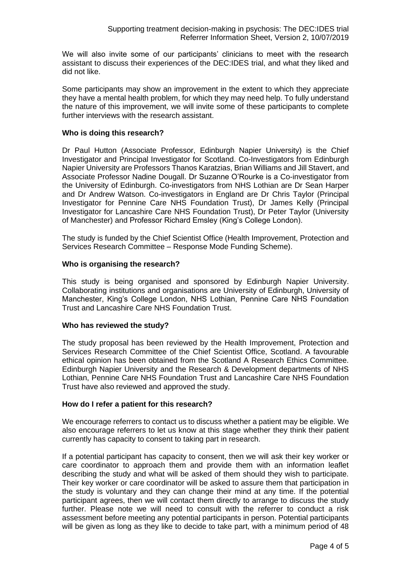We will also invite some of our participants' clinicians to meet with the research assistant to discuss their experiences of the DEC:IDES trial, and what they liked and did not like.

Some participants may show an improvement in the extent to which they appreciate they have a mental health problem, for which they may need help. To fully understand the nature of this improvement, we will invite some of these participants to complete further interviews with the research assistant.

### **Who is doing this research?**

Dr Paul Hutton (Associate Professor, Edinburgh Napier University) is the Chief Investigator and Principal Investigator for Scotland. Co-Investigators from Edinburgh Napier University are Professors Thanos Karatzias, Brian Williams and Jill Stavert, and Associate Professor Nadine Dougall. Dr Suzanne O'Rourke is a Co-investigator from the University of Edinburgh. Co-investigators from NHS Lothian are Dr Sean Harper and Dr Andrew Watson. Co-investigators in England are Dr Chris Taylor (Principal Investigator for Pennine Care NHS Foundation Trust), Dr James Kelly (Principal Investigator for Lancashire Care NHS Foundation Trust), Dr Peter Taylor (University of Manchester) and Professor Richard Emsley (King's College London).

The study is funded by the Chief Scientist Office (Health Improvement, Protection and Services Research Committee – Response Mode Funding Scheme).

### **Who is organising the research?**

This study is being organised and sponsored by Edinburgh Napier University. Collaborating institutions and organisations are University of Edinburgh, University of Manchester, King's College London, NHS Lothian, Pennine Care NHS Foundation Trust and Lancashire Care NHS Foundation Trust.

#### **Who has reviewed the study?**

The study proposal has been reviewed by the Health Improvement, Protection and Services Research Committee of the Chief Scientist Office, Scotland. A favourable ethical opinion has been obtained from the Scotland A Research Ethics Committee. Edinburgh Napier University and the Research & Development departments of NHS Lothian, Pennine Care NHS Foundation Trust and Lancashire Care NHS Foundation Trust have also reviewed and approved the study.

#### **How do I refer a patient for this research?**

We encourage referrers to contact us to discuss whether a patient may be eligible. We also encourage referrers to let us know at this stage whether they think their patient currently has capacity to consent to taking part in research.

If a potential participant has capacity to consent, then we will ask their key worker or care coordinator to approach them and provide them with an information leaflet describing the study and what will be asked of them should they wish to participate. Their key worker or care coordinator will be asked to assure them that participation in the study is voluntary and they can change their mind at any time. If the potential participant agrees, then we will contact them directly to arrange to discuss the study further. Please note we will need to consult with the referrer to conduct a risk assessment before meeting any potential participants in person. Potential participants will be given as long as they like to decide to take part, with a minimum period of 48